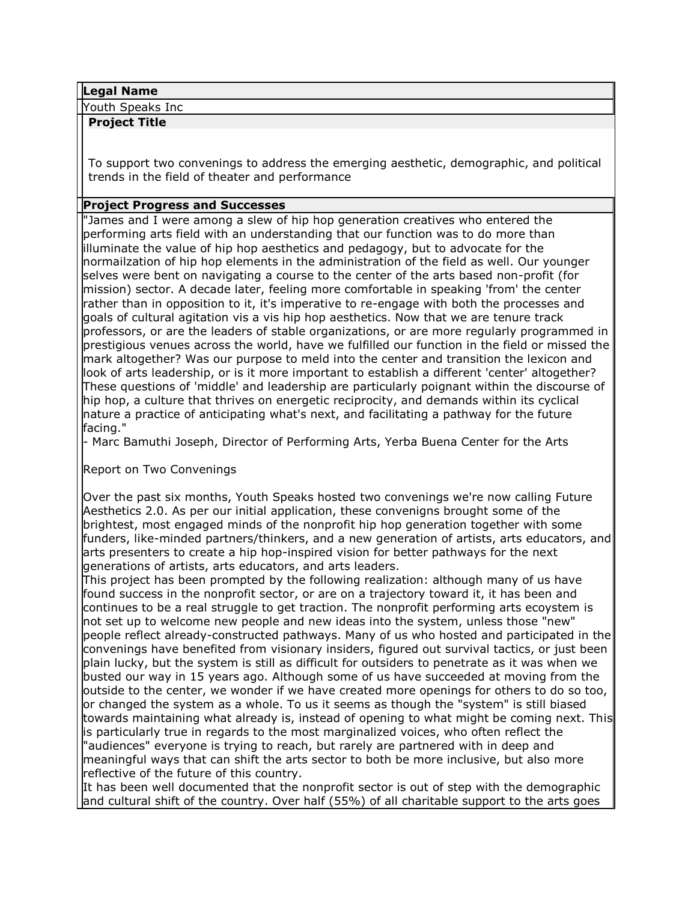#### **Legal Name**

Youth Speaks Inc

#### **Project Title**

To support two convenings to address the emerging aesthetic, demographic, and political trends in the field of theater and performance

### **Project Progress and Successes**

"James and I were among a slew of hip hop generation creatives who entered the performing arts field with an understanding that our function was to do more than illuminate the value of hip hop aesthetics and pedagogy, but to advocate for the normailzation of hip hop elements in the administration of the field as well. Our younger selves were bent on navigating a course to the center of the arts based non-profit (for mission) sector. A decade later, feeling more comfortable in speaking 'from' the center rather than in opposition to it, it's imperative to re-engage with both the processes and goals of cultural agitation vis a vis hip hop aesthetics. Now that we are tenure track professors, or are the leaders of stable organizations, or are more regularly programmed in prestigious venues across the world, have we fulfilled our function in the field or missed the mark altogether? Was our purpose to meld into the center and transition the lexicon and look of arts leadership, or is it more important to establish a different 'center' altogether? These questions of 'middle' and leadership are particularly poignant within the discourse of hip hop, a culture that thrives on energetic reciprocity, and demands within its cyclical nature a practice of anticipating what's next, and facilitating a pathway for the future facing."

- Marc Bamuthi Joseph, Director of Performing Arts, Yerba Buena Center for the Arts

Report on Two Convenings

Over the past six months, Youth Speaks hosted two convenings we're now calling Future Aesthetics 2.0. As per our initial application, these convenigns brought some of the brightest, most engaged minds of the nonprofit hip hop generation together with some funders, like-minded partners/thinkers, and a new generation of artists, arts educators, and arts presenters to create a hip hop-inspired vision for better pathways for the next generations of artists, arts educators, and arts leaders.

This project has been prompted by the following realization: although many of us have found success in the nonprofit sector, or are on a trajectory toward it, it has been and continues to be a real struggle to get traction. The nonprofit performing arts ecoystem is not set up to welcome new people and new ideas into the system, unless those "new" people reflect already-constructed pathways. Many of us who hosted and participated in the convenings have benefited from visionary insiders, figured out survival tactics, or just been plain lucky, but the system is still as difficult for outsiders to penetrate as it was when we busted our way in 15 years ago. Although some of us have succeeded at moving from the outside to the center, we wonder if we have created more openings for others to do so too, or changed the system as a whole. To us it seems as though the "system" is still biased towards maintaining what already is, instead of opening to what might be coming next. This is particularly true in regards to the most marginalized voices, who often reflect the "audiences" everyone is trying to reach, but rarely are partnered with in deep and meaningful ways that can shift the arts sector to both be more inclusive, but also more reflective of the future of this country.

It has been well documented that the nonprofit sector is out of step with the demographic and cultural shift of the country. Over half (55%) of all charitable support to the arts goes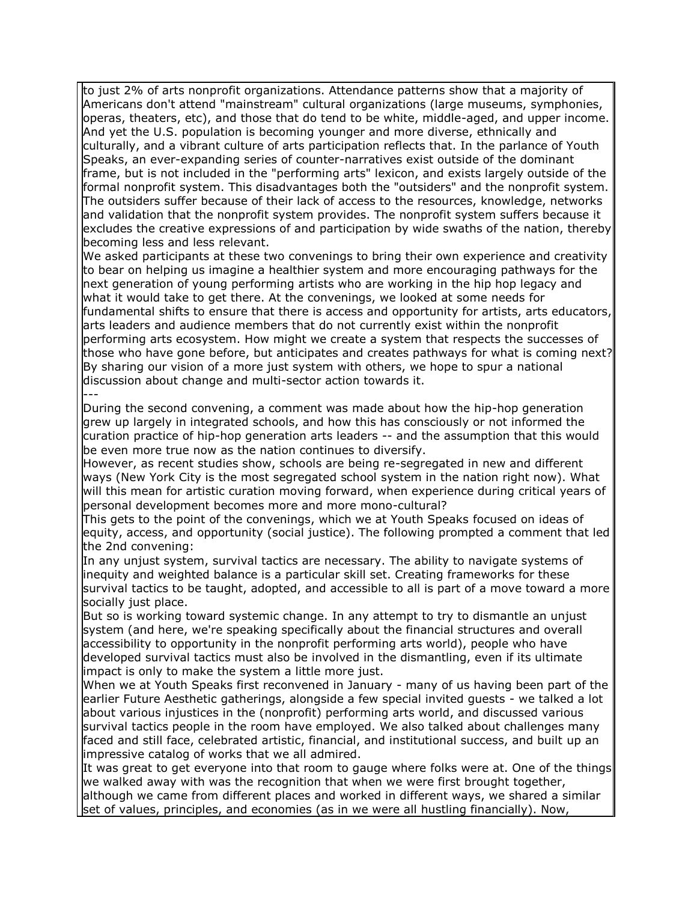to just 2% of arts nonprofit organizations. Attendance patterns show that a majority of Americans don't attend "mainstream" cultural organizations (large museums, symphonies, operas, theaters, etc), and those that do tend to be white, middle-aged, and upper income. And yet the U.S. population is becoming younger and more diverse, ethnically and culturally, and a vibrant culture of arts participation reflects that. In the parlance of Youth Speaks, an ever-expanding series of counter-narratives exist outside of the dominant frame, but is not included in the "performing arts" lexicon, and exists largely outside of the formal nonprofit system. This disadvantages both the "outsiders" and the nonprofit system. The outsiders suffer because of their lack of access to the resources, knowledge, networks and validation that the nonprofit system provides. The nonprofit system suffers because it excludes the creative expressions of and participation by wide swaths of the nation, thereby becoming less and less relevant.

We asked participants at these two convenings to bring their own experience and creativity to bear on helping us imagine a healthier system and more encouraging pathways for the next generation of young performing artists who are working in the hip hop legacy and what it would take to get there. At the convenings, we looked at some needs for fundamental shifts to ensure that there is access and opportunity for artists, arts educators, arts leaders and audience members that do not currently exist within the nonprofit performing arts ecosystem. How might we create a system that respects the successes of those who have gone before, but anticipates and creates pathways for what is coming next? By sharing our vision of a more just system with others, we hope to spur a national discussion about change and multi-sector action towards it. ---

During the second convening, a comment was made about how the hip-hop generation grew up largely in integrated schools, and how this has consciously or not informed the curation practice of hip-hop generation arts leaders -- and the assumption that this would be even more true now as the nation continues to diversify.

However, as recent studies show, schools are being re-segregated in new and different ways (New York City is the most segregated school system in the nation right now). What will this mean for artistic curation moving forward, when experience during critical years of personal development becomes more and more mono-cultural?

This gets to the point of the convenings, which we at Youth Speaks focused on ideas of equity, access, and opportunity (social justice). The following prompted a comment that led the 2nd convening:

In any unjust system, survival tactics are necessary. The ability to navigate systems of inequity and weighted balance is a particular skill set. Creating frameworks for these survival tactics to be taught, adopted, and accessible to all is part of a move toward a more socially just place.

But so is working toward systemic change. In any attempt to try to dismantle an unjust system (and here, we're speaking specifically about the financial structures and overall accessibility to opportunity in the nonprofit performing arts world), people who have developed survival tactics must also be involved in the dismantling, even if its ultimate impact is only to make the system a little more just.

When we at Youth Speaks first reconvened in January - many of us having been part of the earlier Future Aesthetic gatherings, alongside a few special invited guests - we talked a lot about various injustices in the (nonprofit) performing arts world, and discussed various survival tactics people in the room have employed. We also talked about challenges many faced and still face, celebrated artistic, financial, and institutional success, and built up an impressive catalog of works that we all admired.

It was great to get everyone into that room to gauge where folks were at. One of the things we walked away with was the recognition that when we were first brought together, although we came from different places and worked in different ways, we shared a similar set of values, principles, and economies (as in we were all hustling financially). Now,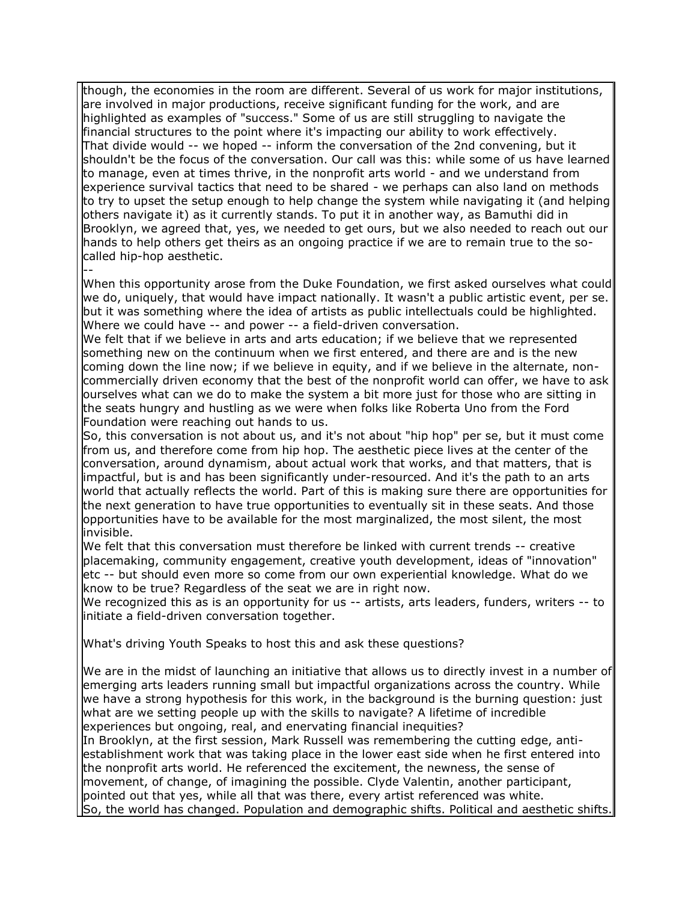though, the economies in the room are different. Several of us work for major institutions, are involved in major productions, receive significant funding for the work, and are highlighted as examples of "success." Some of us are still struggling to navigate the financial structures to the point where it's impacting our ability to work effectively. That divide would -- we hoped -- inform the conversation of the 2nd convening, but it shouldn't be the focus of the conversation. Our call was this: while some of us have learned to manage, even at times thrive, in the nonprofit arts world - and we understand from experience survival tactics that need to be shared - we perhaps can also land on methods to try to upset the setup enough to help change the system while navigating it (and helping others navigate it) as it currently stands. To put it in another way, as Bamuthi did in Brooklyn, we agreed that, yes, we needed to get ours, but we also needed to reach out our hands to help others get theirs as an ongoing practice if we are to remain true to the socalled hip-hop aesthetic.

-- When this opportunity arose from the Duke Foundation, we first asked ourselves what could we do, uniquely, that would have impact nationally. It wasn't a public artistic event, per se. but it was something where the idea of artists as public intellectuals could be highlighted. Where we could have -- and power -- a field-driven conversation.

We felt that if we believe in arts and arts education; if we believe that we represented something new on the continuum when we first entered, and there are and is the new coming down the line now; if we believe in equity, and if we believe in the alternate, noncommercially driven economy that the best of the nonprofit world can offer, we have to ask ourselves what can we do to make the system a bit more just for those who are sitting in the seats hungry and hustling as we were when folks like Roberta Uno from the Ford Foundation were reaching out hands to us.

So, this conversation is not about us, and it's not about "hip hop" per se, but it must come from us, and therefore come from hip hop. The aesthetic piece lives at the center of the conversation, around dynamism, about actual work that works, and that matters, that is impactful, but is and has been significantly under-resourced. And it's the path to an arts world that actually reflects the world. Part of this is making sure there are opportunities for the next generation to have true opportunities to eventually sit in these seats. And those opportunities have to be available for the most marginalized, the most silent, the most invisible.

We felt that this conversation must therefore be linked with current trends -- creative placemaking, community engagement, creative youth development, ideas of "innovation" etc -- but should even more so come from our own experiential knowledge. What do we know to be true? Regardless of the seat we are in right now.

We recognized this as is an opportunity for us -- artists, arts leaders, funders, writers -- to initiate a field-driven conversation together.

What's driving Youth Speaks to host this and ask these questions?

We are in the midst of launching an initiative that allows us to directly invest in a number of emerging arts leaders running small but impactful organizations across the country. While we have a strong hypothesis for this work, in the background is the burning question: just what are we setting people up with the skills to navigate? A lifetime of incredible experiences but ongoing, real, and enervating financial inequities?

In Brooklyn, at the first session, Mark Russell was remembering the cutting edge, antiestablishment work that was taking place in the lower east side when he first entered into the nonprofit arts world. He referenced the excitement, the newness, the sense of movement, of change, of imagining the possible. Clyde Valentin, another participant, pointed out that yes, while all that was there, every artist referenced was white. So, the world has changed. Population and demographic shifts. Political and aesthetic shifts.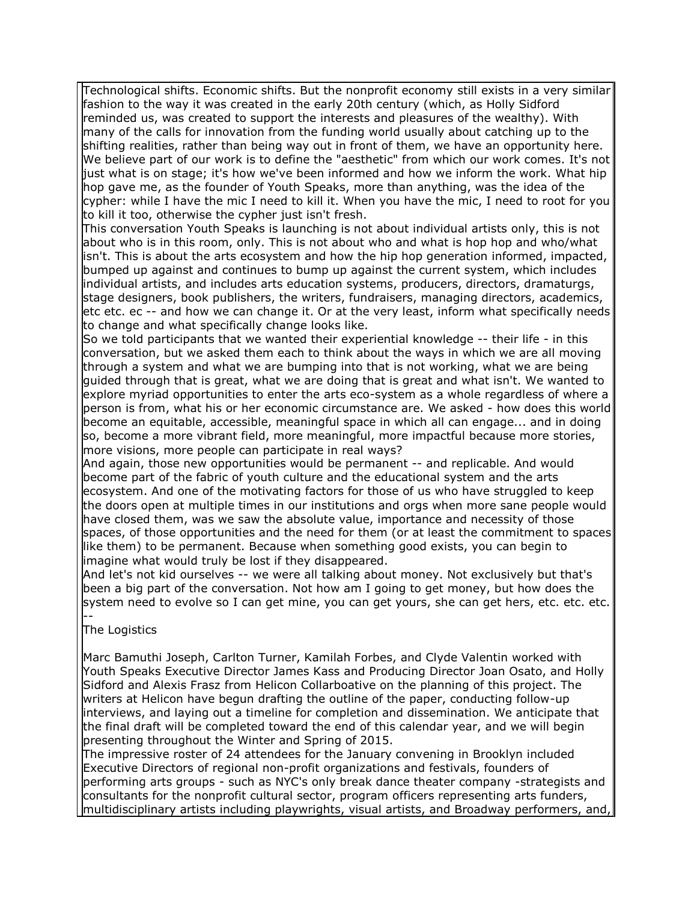Technological shifts. Economic shifts. But the nonprofit economy still exists in a very similar fashion to the way it was created in the early 20th century (which, as Holly Sidford reminded us, was created to support the interests and pleasures of the wealthy). With many of the calls for innovation from the funding world usually about catching up to the shifting realities, rather than being way out in front of them, we have an opportunity here. We believe part of our work is to define the "aesthetic" from which our work comes. It's not just what is on stage; it's how we've been informed and how we inform the work. What hip hop gave me, as the founder of Youth Speaks, more than anything, was the idea of the cypher: while I have the mic I need to kill it. When you have the mic, I need to root for you to kill it too, otherwise the cypher just isn't fresh.

This conversation Youth Speaks is launching is not about individual artists only, this is not about who is in this room, only. This is not about who and what is hop hop and who/what isn't. This is about the arts ecosystem and how the hip hop generation informed, impacted, bumped up against and continues to bump up against the current system, which includes individual artists, and includes arts education systems, producers, directors, dramaturgs, stage designers, book publishers, the writers, fundraisers, managing directors, academics, etc etc. ec -- and how we can change it. Or at the very least, inform what specifically needs to change and what specifically change looks like.

So we told participants that we wanted their experiential knowledge -- their life - in this conversation, but we asked them each to think about the ways in which we are all moving through a system and what we are bumping into that is not working, what we are being guided through that is great, what we are doing that is great and what isn't. We wanted to explore myriad opportunities to enter the arts eco-system as a whole regardless of where a person is from, what his or her economic circumstance are. We asked - how does this world become an equitable, accessible, meaningful space in which all can engage... and in doing so, become a more vibrant field, more meaningful, more impactful because more stories, more visions, more people can participate in real ways?

And again, those new opportunities would be permanent -- and replicable. And would become part of the fabric of youth culture and the educational system and the arts ecosystem. And one of the motivating factors for those of us who have struggled to keep the doors open at multiple times in our institutions and orgs when more sane people would have closed them, was we saw the absolute value, importance and necessity of those spaces, of those opportunities and the need for them (or at least the commitment to spaces like them) to be permanent. Because when something good exists, you can begin to imagine what would truly be lost if they disappeared.

And let's not kid ourselves -- we were all talking about money. Not exclusively but that's been a big part of the conversation. Not how am I going to get money, but how does the system need to evolve so I can get mine, you can get yours, she can get hers, etc. etc. etc. --

# The Logistics

Marc Bamuthi Joseph, Carlton Turner, Kamilah Forbes, and Clyde Valentin worked with Youth Speaks Executive Director James Kass and Producing Director Joan Osato, and Holly Sidford and Alexis Frasz from Helicon Collarboative on the planning of this project. The writers at Helicon have begun drafting the outline of the paper, conducting follow-up interviews, and laying out a timeline for completion and dissemination. We anticipate that the final draft will be completed toward the end of this calendar year, and we will begin presenting throughout the Winter and Spring of 2015.

The impressive roster of 24 attendees for the January convening in Brooklyn included Executive Directors of regional non-profit organizations and festivals, founders of performing arts groups - such as NYC's only break dance theater company -strategists and consultants for the nonprofit cultural sector, program officers representing arts funders, multidisciplinary artists including playwrights, visual artists, and Broadway performers, and,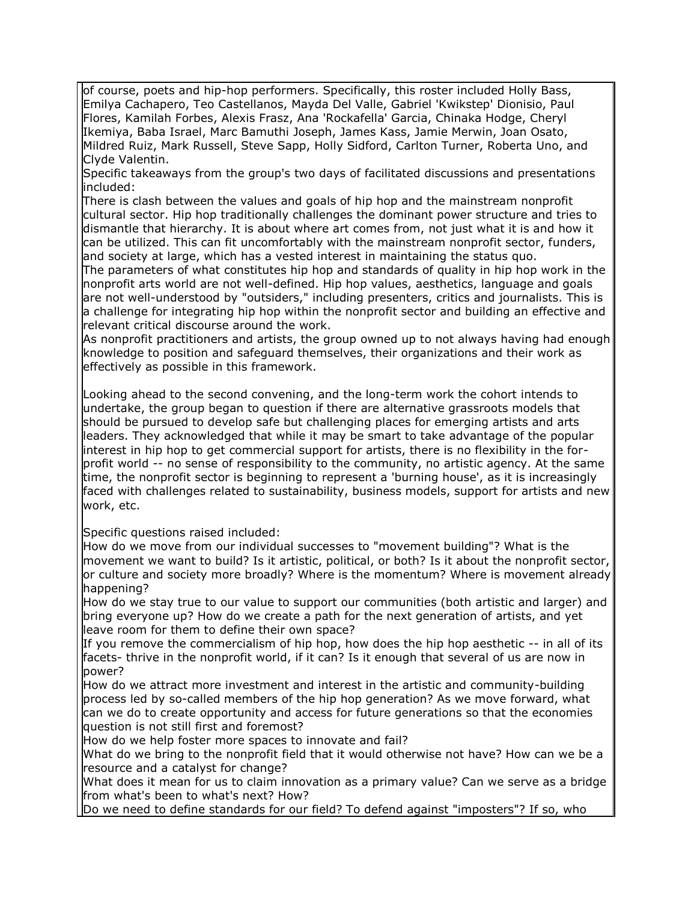of course, poets and hip-hop performers. Specifically, this roster included Holly Bass, Emilya Cachapero, Teo Castellanos, Mayda Del Valle, Gabriel 'Kwikstep' Dionisio, Paul Flores, Kamilah Forbes, Alexis Frasz, Ana 'Rockafella' Garcia, Chinaka Hodge, Cheryl Ikemiya, Baba Israel, Marc Bamuthi Joseph, James Kass, Jamie Merwin, Joan Osato, Mildred Ruiz, Mark Russell, Steve Sapp, Holly Sidford, Carlton Turner, Roberta Uno, and Clyde Valentin.

Specific takeaways from the group's two days of facilitated discussions and presentations included:

There is clash between the values and goals of hip hop and the mainstream nonprofit cultural sector. Hip hop traditionally challenges the dominant power structure and tries to dismantle that hierarchy. It is about where art comes from, not just what it is and how it can be utilized. This can fit uncomfortably with the mainstream nonprofit sector, funders, and society at large, which has a vested interest in maintaining the status quo.

The parameters of what constitutes hip hop and standards of quality in hip hop work in the nonprofit arts world are not well-defined. Hip hop values, aesthetics, language and goals are not well-understood by "outsiders," including presenters, critics and journalists. This is a challenge for integrating hip hop within the nonprofit sector and building an effective and relevant critical discourse around the work.

As nonprofit practitioners and artists, the group owned up to not always having had enough knowledge to position and safeguard themselves, their organizations and their work as effectively as possible in this framework.

Looking ahead to the second convening, and the long-term work the cohort intends to undertake, the group began to question if there are alternative grassroots models that should be pursued to develop safe but challenging places for emerging artists and arts leaders. They acknowledged that while it may be smart to take advantage of the popular interest in hip hop to get commercial support for artists, there is no flexibility in the forprofit world -- no sense of responsibility to the community, no artistic agency. At the same time, the nonprofit sector is beginning to represent a 'burning house', as it is increasingly faced with challenges related to sustainability, business models, support for artists and new work, etc.

Specific questions raised included:

How do we move from our individual successes to "movement building"? What is the movement we want to build? Is it artistic, political, or both? Is it about the nonprofit sector, or culture and society more broadly? Where is the momentum? Where is movement already happening?

How do we stay true to our value to support our communities (both artistic and larger) and bring everyone up? How do we create a path for the next generation of artists, and yet leave room for them to define their own space?

If you remove the commercialism of hip hop, how does the hip hop aesthetic -- in all of its facets- thrive in the nonprofit world, if it can? Is it enough that several of us are now in power?

How do we attract more investment and interest in the artistic and community-building process led by so-called members of the hip hop generation? As we move forward, what can we do to create opportunity and access for future generations so that the economies question is not still first and foremost?

How do we help foster more spaces to innovate and fail?

What do we bring to the nonprofit field that it would otherwise not have? How can we be a resource and a catalyst for change?

What does it mean for us to claim innovation as a primary value? Can we serve as a bridge from what's been to what's next? How?

Do we need to define standards for our field? To defend against "imposters"? If so, who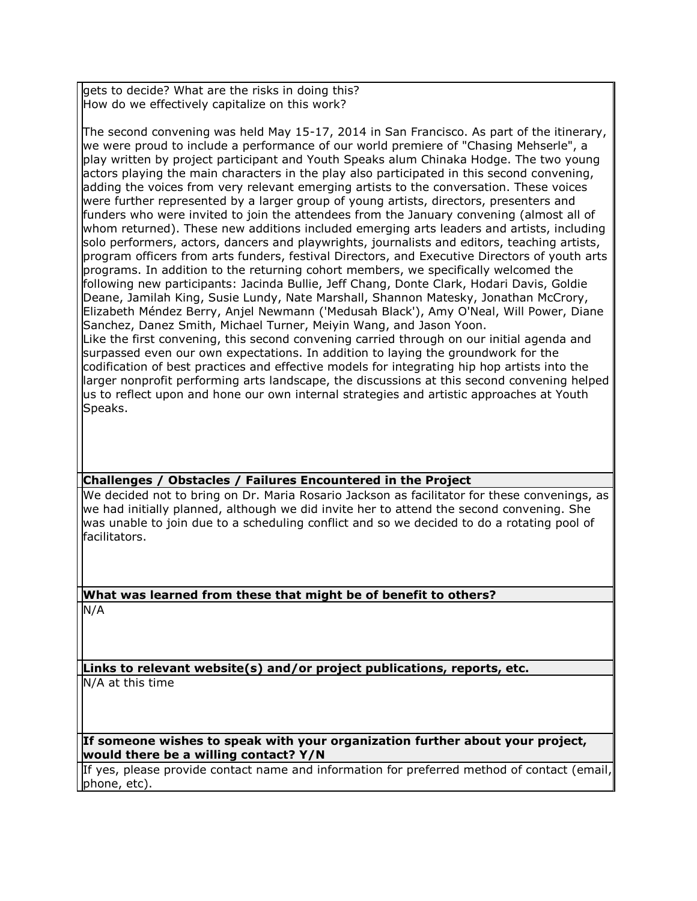gets to decide? What are the risks in doing this? How do we effectively capitalize on this work?

The second convening was held May 15-17, 2014 in San Francisco. As part of the itinerary, we were proud to include a performance of our world premiere of "Chasing Mehserle", a play written by project participant and Youth Speaks alum Chinaka Hodge. The two young actors playing the main characters in the play also participated in this second convening, adding the voices from very relevant emerging artists to the conversation. These voices were further represented by a larger group of young artists, directors, presenters and funders who were invited to join the attendees from the January convening (almost all of whom returned). These new additions included emerging arts leaders and artists, including solo performers, actors, dancers and playwrights, journalists and editors, teaching artists, program officers from arts funders, festival Directors, and Executive Directors of youth arts programs. In addition to the returning cohort members, we specifically welcomed the following new participants: Jacinda Bullie, Jeff Chang, Donte Clark, Hodari Davis, Goldie Deane, Jamilah King, Susie Lundy, Nate Marshall, Shannon Matesky, Jonathan McCrory, Elizabeth Méndez Berry, Anjel Newmann ('Medusah Black'), Amy O'Neal, Will Power, Diane Sanchez, Danez Smith, Michael Turner, Meiyin Wang, and Jason Yoon. Like the first convening, this second convening carried through on our initial agenda and surpassed even our own expectations. In addition to laying the groundwork for the codification of best practices and effective models for integrating hip hop artists into the larger nonprofit performing arts landscape, the discussions at this second convening helped us to reflect upon and hone our own internal strategies and artistic approaches at Youth Speaks.

### **Challenges / Obstacles / Failures Encountered in the Project**

We decided not to bring on Dr. Maria Rosario Jackson as facilitator for these convenings, as we had initially planned, although we did invite her to attend the second convening. She was unable to join due to a scheduling conflict and so we decided to do a rotating pool of facilitators.

# **What was learned from these that might be of benefit to others?**

N/A

**Links to relevant website(s) and/or project publications, reports, etc.** N/A at this time

**If someone wishes to speak with your organization further about your project, would there be a willing contact? Y/N**

If yes, please provide contact name and information for preferred method of contact (email, phone, etc).